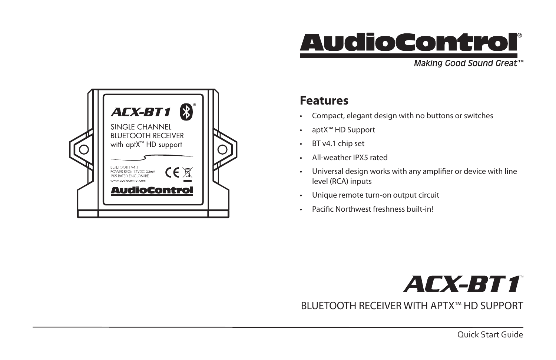

Making Good Sound Great™



### **Features**

- Compact, elegant design with no buttons or switches
- aptX™ HD Support
- BT v4.1 chip set
- All-weather IPX5 rated
- Universal design works with any amplifier or device with line level (RCA) inputs
- Unique remote turn-on output circuit
- Pacific Northwest freshness built-in!

# **ACX-BT1**

BLUETOOTH RECEIVER WITH APTX™ HD SUPPORT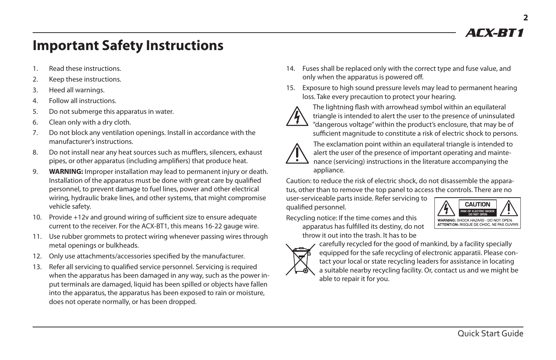*AFX-RT1* 

# **Important Safety Instructions**

- 1. Read these instructions.
- 2. Keep these instructions.
- 3. Heed all warnings.
- 4. Follow all instructions.
- 5. Do not submerge this apparatus in water.
- 6. Clean only with a dry cloth.
- 7. Do not block any ventilation openings. Install in accordance with the manufacturer's instructions.
- 8. Do not install near any heat sources such as mufflers, silencers, exhaust pipes, or other apparatus (including amplifiers) that produce heat.
- 9. **WARNING:** Improper installation may lead to permanent injury or death. Installation of the apparatus must be done with great care by qualified personnel, to prevent damage to fuel lines, power and other electrical wiring, hydraulic brake lines, and other systems, that might compromise vehicle safety.
- 10. Provide +12v and ground wiring of sufficient size to ensure adequate current to the receiver. For the ACX-BT1, this means 16-22 gauge wire.
- 11. Use rubber grommets to protect wiring whenever passing wires through metal openings or bulkheads.
- 12. Only use attachments/accessories specified by the manufacturer.
- 13. Refer all servicing to qualified service personnel. Servicing is required when the apparatus has been damaged in any way, such as the power input terminals are damaged, liquid has been spilled or objects have fallen into the apparatus, the apparatus has been exposed to rain or moisture, does not operate normally, or has been dropped.
- 14. Fuses shall be replaced only with the correct type and fuse value, and only when the apparatus is powered off.
- 15. Exposure to high sound pressure levels may lead to permanent hearing loss. Take every precaution to protect your hearing.



The lightning flash with arrowhead symbol within an equilateral triangle is intended to alert the user to the presence of uninsulated "dangerous voltage" within the product's enclosure, that may be of sufficient magnitude to constitute a risk of electric shock to persons.



The exclamation point within an equilateral triangle is intended to alert the user of the presence of important operating and maintenance (servicing) instructions in the literature accompanying the appliance.

Caution: to reduce the risk of electric shock, do not disassemble the apparatus, other than to remove the top panel to access the controls. There are no

user-serviceable parts inside. Refer servicing to qualified personnel.

Recycling notice: If the time comes and this apparatus has fulfilled its destiny, do not throw it out into the trash. It has to be





carefully recycled for the good of mankind, by a facility specially equipped for the safe recycling of electronic apparatii. Please contact your local or state recycling leaders for assistance in locating a suitable nearby recycling facility. Or, contact us and we might be able to repair it for you.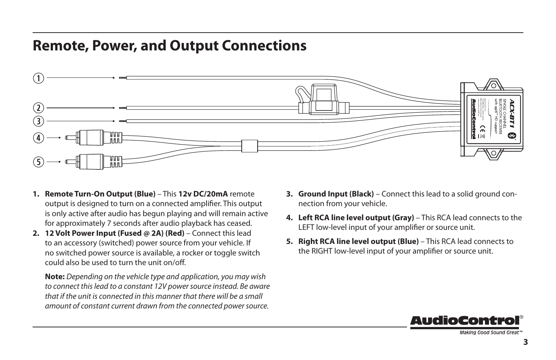# **Remote, Power, and Output Connections**



- **1. Remote Turn-On Output (Blue)** This **12v DC/20mA** remote output is designed to turn on a connected amplifier. This output is only active after audio has begun playing and will remain active for approximately 7 seconds after audio playback has ceased.
- **2. 12 Volt Power Input (Fused @ 2A) (Red)** Connect this lead to an accessory (switched) power source from your vehicle. If no switched power source is available, a rocker or toggle switch could also be used to turn the unit on/off.

**Note:** *Depending on the vehicle type and application, you may wish to connect this lead to a constant 12V power source instead. Be aware that if the unit is connected in this manner that there will be a small amount of constant current drawn from the connected power source.*

- **3. Ground Input (Black)** Connect this lead to a solid ground connection from your vehicle.
- **4. Left RCA line level output (Gray)** This RCA lead connects to the LEFT low-level input of your amplifier or source unit.
- **5. Right RCA line level output (Blue)** This RCA lead connects to the RIGHT low-level input of your amplifier or source unit.



Making Good Sound Great"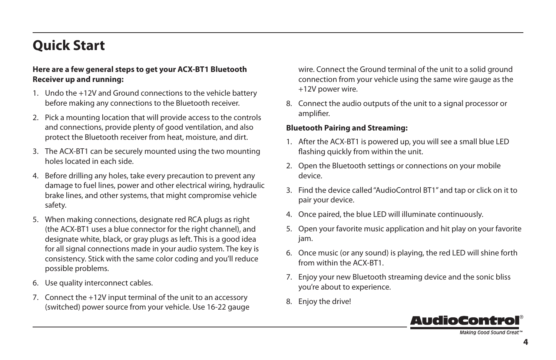# **Quick Start**

#### **Here are a few general steps to get your ACX-BT1 Bluetooth Receiver up and running:**

- 1. Undo the +12V and Ground connections to the vehicle battery before making any connections to the Bluetooth receiver.
- 2. Pick a mounting location that will provide access to the controls and connections, provide plenty of good ventilation, and also protect the Bluetooth receiver from heat, moisture, and dirt.
- 3. The ACX-BT1 can be securely mounted using the two mounting holes located in each side.
- 4. Before drilling any holes, take every precaution to prevent any damage to fuel lines, power and other electrical wiring, hydraulic brake lines, and other systems, that might compromise vehicle safety.
- 5. When making connections, designate red RCA plugs as right (the ACX-BT1 uses a blue connector for the right channel), and designate white, black, or gray plugs as left. This is a good idea for all signal connections made in your audio system. The key is consistency. Stick with the same color coding and you'll reduce possible problems.
- 6. Use quality interconnect cables.
- 7. Connect the +12V input terminal of the unit to an accessory (switched) power source from your vehicle. Use 16-22 gauge

wire. Connect the Ground terminal of the unit to a solid ground connection from your vehicle using the same wire gauge as the +12V power wire.

8. Connect the audio outputs of the unit to a signal processor or amplifier.

#### **Bluetooth Pairing and Streaming:**

- 1. After the ACX-BT1 is powered up, you will see a small blue LED flashing quickly from within the unit.
- 2. Open the Bluetooth settings or connections on your mobile device.
- 3. Find the device called "AudioControl BT1" and tap or click on it to pair your device.
- 4. Once paired, the blue LED will illuminate continuously.
- 5. Open your favorite music application and hit play on your favorite jam.
- 6. Once music (or any sound) is playing, the red LED will shine forth from within the ACX-BT1.
- 7. Enjoy your new Bluetooth streaming device and the sonic bliss you're about to experience.
- 8. Enjoy the drive!



Making Good Sound Great"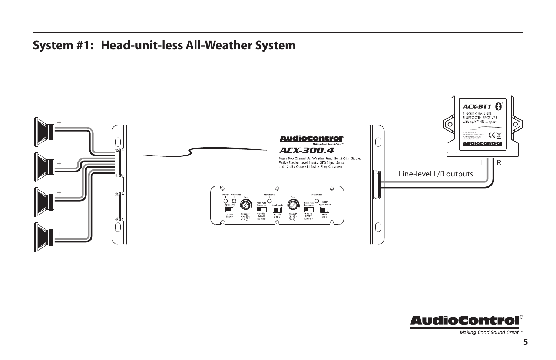### **System #1: Head-unit-less All-Weather System**





Making Good Sound Great<sup>™</sup>